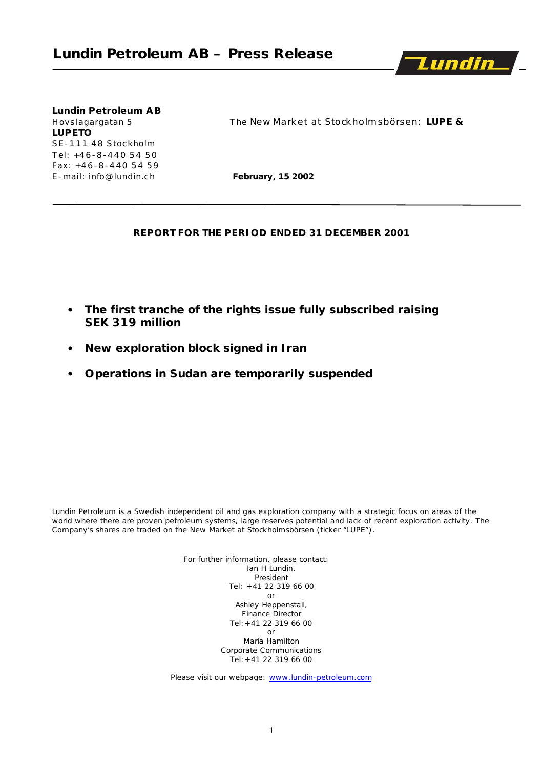

# **Lundin Petroleum AB LUPETO** SE-111 48 Stockholm T el: +4 6 -8 -4 4 0 5 4 5 0 Fax: +4 6 -8 -4 4 0 5 4 5 9

Hovslagargatan 5 The New Market at Stockholmsbörsen: LUPE &

E-mail: info@lundin.ch **February, 15 2002** 

#### **REPORT FOR THE PERIOD ENDED 31 DECEMBER 2001**

- **The first tranche of the rights issue fully subscribed raising SEK 319 million**
- **New exploration block signed in Iran**
- **Operations in Sudan are temporarily suspended**

*Lundin Petroleum is a Swedish independent oil and gas exploration company with a strategic focus on areas of the world where there are proven petroleum systems, large reserves potential and lack of recent exploration activity. The Company's shares are traded on the New Market at Stockholmsbörsen (ticker "LUPE").*

> For further information, please contact: Ian H Lundin, President Tel: +41 22 319 66 00 or Ashley Heppenstall, Finance Director Tel:+41 22 319 66 00 or Maria Hamilton Corporate Communications Tel:+41 22 319 66 00

Please visit our webpage: www.lundin-petroleum.com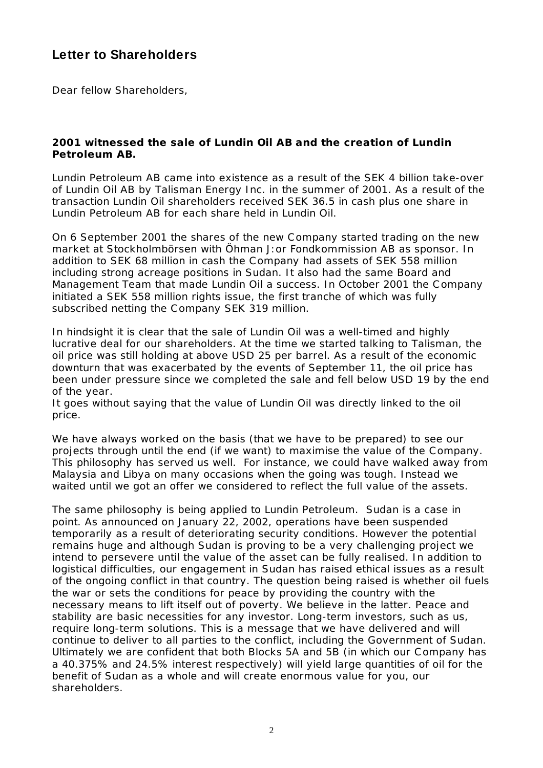# **Letter to Shareholders**

Dear fellow Shareholders,

### **2001 witnessed the sale of Lundin Oil AB and the creation of Lundin Petroleum AB.**

Lundin Petroleum AB came into existence as a result of the SEK 4 billion take-over of Lundin Oil AB by Talisman Energy Inc. in the summer of 2001. As a result of the transaction Lundin Oil shareholders received SEK 36.5 in cash plus one share in Lundin Petroleum AB for each share held in Lundin Oil.

On 6 September 2001 the shares of the new Company started trading on the new market at Stockholmbörsen with Öhman J:or Fondkommission AB as sponsor. In addition to SEK 68 million in cash the Company had assets of SEK 558 million including strong acreage positions in Sudan. It also had the same Board and Management Team that made Lundin Oil a success. In October 2001 the Company initiated a SEK 558 million rights issue, the first tranche of which was fully subscribed netting the Company SEK 319 million.

In hindsight it is clear that the sale of Lundin Oil was a well-timed and highly lucrative deal for our shareholders. At the time we started talking to Talisman, the oil price was still holding at above USD 25 per barrel. As a result of the economic downturn that was exacerbated by the events of September 11, the oil price has been under pressure since we completed the sale and fell below USD 19 by the end of the year.

It goes without saying that the value of Lundin Oil was directly linked to the oil price.

We have always worked on the basis (that we have to be prepared) to see our projects through until the end (if we want) to maximise the value of the Company. This philosophy has served us well. For instance, we could have walked away from Malaysia and Libya on many occasions when the going was tough. Instead we waited until we got an offer we considered to reflect the full value of the assets.

The same philosophy is being applied to Lundin Petroleum. Sudan is a case in point. As announced on January 22, 2002, operations have been suspended temporarily as a result of deteriorating security conditions. However the potential remains huge and although Sudan is proving to be a very challenging project we intend to persevere until the value of the asset can be fully realised. In addition to logistical difficulties, our engagement in Sudan has raised ethical issues as a result of the ongoing conflict in that country. The question being raised is whether oil fuels the war or sets the conditions for peace by providing the country with the necessary means to lift itself out of poverty. We believe in the latter. Peace and stability are basic necessities for any investor. Long-term investors, such as us, require long-term solutions. This is a message that we have delivered and will continue to deliver to all parties to the conflict, including the Government of Sudan. Ultimately we are confident that both Blocks 5A and 5B (in which our Company has a 40.375% and 24.5% interest respectively) will yield large quantities of oil for the benefit of Sudan as a whole and will create enormous value for you, our shareholders.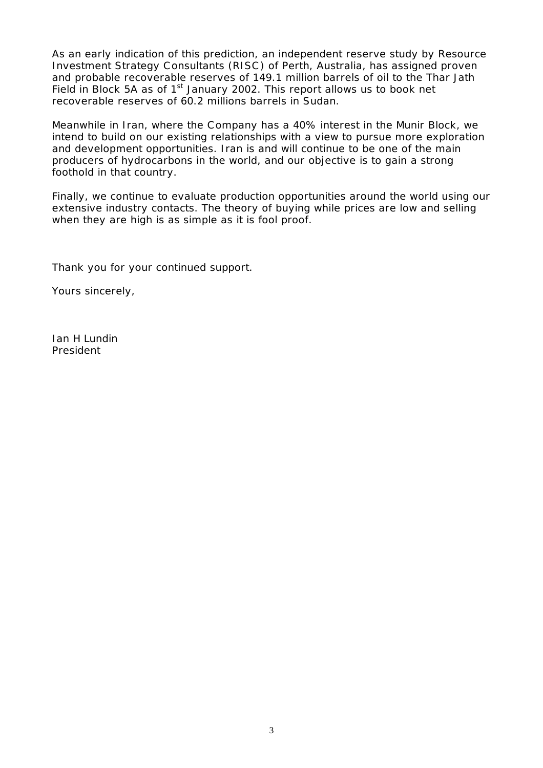As an early indication of this prediction, an independent reserve study by Resource Investment Strategy Consultants (RISC ) of Perth, Australia, has assigned proven and probable recoverable reserves of 149.1 million barrels of oil to the Thar Jath Field in Block 5A as of 1<sup>st</sup> January 2002. This report allows us to book net recoverable reserves of 60.2 millions barrels in Sudan.

Meanwhile in Iran, where the Company has a 40% interest in the Munir Block, we intend to build on our existing relationships with a view to pursue more exploration and development opportunities. Iran is and will continue to be one of the main producers of hydrocarbons in the world, and our objective is to gain a strong foothold in that country.

Finally, we continue to evaluate production opportunities around the world using our extensive industry contacts. The theory of buying while prices are low and selling when they are high is as simple as it is fool proof.

Thank you for your continued support.

Yours sincerely,

Ian H Lundin President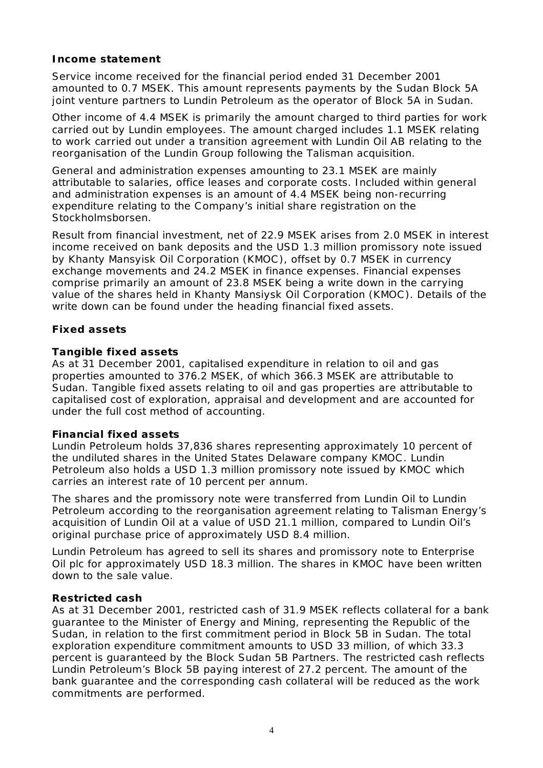### **Income statement**

Service income received for the financial period ended 31 December 2001 amounted to 0.7 MSEK. This amount represents payments by the Sudan Block 5A joint venture partners to Lundin Petroleum as the operator of Block 5A in Sudan.

Other income of 4.4 MSEK is primarily the amount charged to third parties for work carried out by Lundin employees. The amount charged includes 1.1 MSEK relating to work carried out under a transition agreement with Lundin Oil AB relating to the reorganisation of the Lundin Group following the Talisman acquisition.

General and administration expenses amounting to 23.1 MSEK are mainly attributable to salaries, office leases and corporate costs. Included within general and administration expenses is an amount of 4.4 MSEK being non-recurring expenditure relating to the Company's initial share registration on the Stockholmsborsen.

Result from financial investment, net of 22.9 MSEK arises from 2.0 MSEK in interest income received on bank deposits and the USD 1.3 million promissory note issued by Khanty Mansyisk Oil Corporation (KMOC ), offset by 0.7 MSEK in currency exchange movements and 24.2 MSEK in finance expenses. Financial expenses comprise primarily an amount of 23.8 MSEK being a write down in the carrying value of the shares held in Khanty Mansiysk Oil Corporation (KMOC ). Details of the write down can be found under the heading financial fixed assets.

# **Fixed assets**

### *Tangible fixed assets*

As at 31 December 2001, capitalised expenditure in relation to oil and gas properties amounted to 376.2 MSEK, of which 366.3 MSEK are attributable to Sudan. Tangible fixed assets relating to oil and gas properties are attributable to capitalised cost of exploration, appraisal and development and are accounted for under the full cost method of accounting.

### *Financial fixed assets*

Lundin Petroleum holds 37,836 shares representing approximately 10 percent of the undiluted shares in the United States Delaware company KMOC . Lundin Petroleum also holds a USD 1.3 million promissory note issued by KMOC which carries an interest rate of 10 percent per annum.

The shares and the promissory note were transferred from Lundin Oil to Lundin Petroleum according to the reorganisation agreement relating to Talisman Energy's acquisition of Lundin Oil at a value of USD 21.1 million, compared to Lundin Oil's original purchase price of approximately USD 8.4 million.

Lundin Petroleum has agreed to sell its shares and promissory note to Enterprise Oil plc for approximately USD 18.3 million. The shares in KMOC have been written down to the sale value.

### *Restricted cash*

As at 31 December 2001, restricted cash of 31.9 MSEK reflects collateral for a bank guarantee to the Minister of Energy and Mining, representing the Republic of the Sudan, in relation to the first commitment period in Block 5B in Sudan. The total exploration expenditure commitment amounts to USD 33 million, of which 33.3 percent is guaranteed by the Block Sudan 5B Partners. The restricted cash reflects Lundin Petroleum's Block 5B paying interest of 27.2 percent. The amount of the bank guarantee and the corresponding cash collateral will be reduced as the work commitments are performed.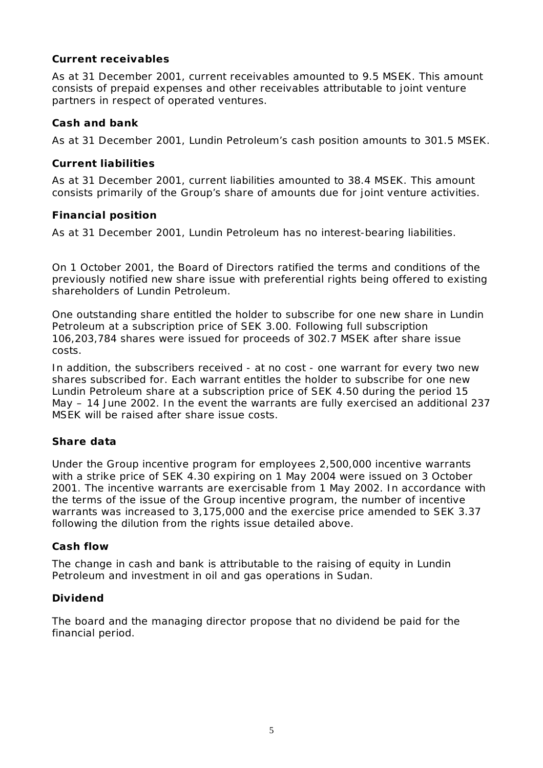# **Current receivables**

As at 31 December 2001, current receivables amounted to 9.5 MSEK. This amount consists of prepaid expenses and other receivables attributable to joint venture partners in respect of operated ventures.

# **Cash and bank**

As at 31 December 2001, Lundin Petroleum's cash position amounts to 301.5 MSEK.

# **Current liabilities**

As at 31 December 2001, current liabilities amounted to 38.4 MSEK. This amount consists primarily of the Group's share of amounts due for joint venture activities.

# **Financial position**

As at 31 December 2001, Lundin Petroleum has no interest-bearing liabilities.

On 1 October 2001, the Board of Directors ratified the terms and conditions of the previously notified new share issue with preferential rights being offered to existing shareholders of Lundin Petroleum.

One outstanding share entitled the holder to subscribe for one new share in Lundin Petroleum at a subscription price of SEK 3.00. Following full subscription 106,203,784 shares were issued for proceeds of 302.7 MSEK after share issue costs.

In addition, the subscribers received - at no cost - one warrant for every two new shares subscribed for. Each warrant entitles the holder to subscribe for one new Lundin Petroleum share at a subscription price of SEK 4.50 during the period 15 May – 14 June 2002. In the event the warrants are fully exercised an additional 237 MSEK will be raised after share issue costs.

# **Share data**

Under the Group incentive program for employees 2,500,000 incentive warrants with a strike price of SEK 4.30 expiring on 1 May 2004 were issued on 3 October 2001. The incentive warrants are exercisable from 1 May 2002. In accordance with the terms of the issue of the Group incentive program, the number of incentive warrants was increased to 3,175,000 and the exercise price amended to SEK 3.37 following the dilution from the rights issue detailed above.

# **Cash flow**

The change in cash and bank is attributable to the raising of equity in Lundin Petroleum and investment in oil and gas operations in Sudan.

# **Dividend**

The board and the managing director propose that no dividend be paid for the financial period.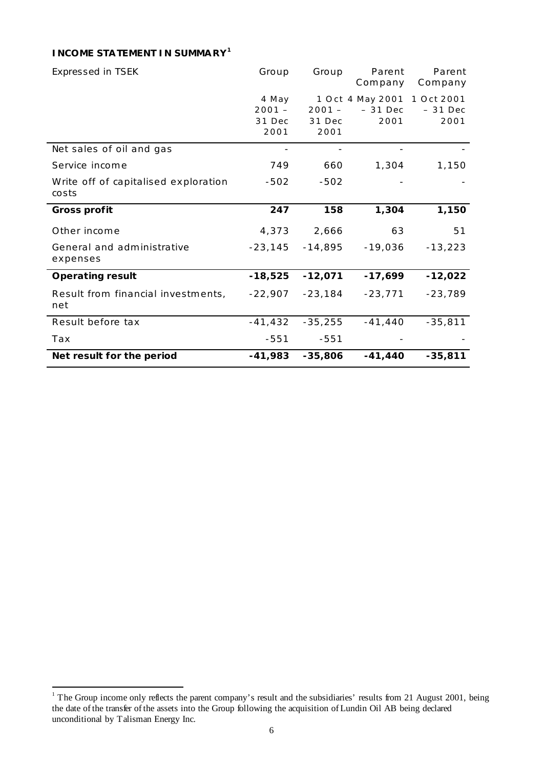### **INCOME STATEMENT IN SUMMARY<sup>1</sup>**

| <b>Expressed in TSEK</b>                      | Group                               | Group                      | Parent<br>Company                                | Parent<br>Company |
|-----------------------------------------------|-------------------------------------|----------------------------|--------------------------------------------------|-------------------|
|                                               | 4 May<br>$2001 -$<br>31 Dec<br>2001 | $2001 -$<br>31 Dec<br>2001 | 1 Oct 4 May 2001 1 Oct 2001<br>$-31$ Dec<br>2001 | $-31$ Dec<br>2001 |
| Net sales of oil and gas                      |                                     |                            |                                                  |                   |
| Service income                                | 749                                 | 660                        | 1,304                                            | 1,150             |
| Write off of capitalised exploration<br>costs | $-502$                              | $-502$                     |                                                  |                   |
| <b>Gross profit</b>                           | 247                                 | 158                        | 1,304                                            | 1,150             |
| Other income                                  | 4,373                               | 2,666                      | 63                                               | 51                |
| General and administrative<br>expenses        | $-23,145$                           | $-14,895$                  | $-19,036$                                        | $-13,223$         |
| <b>Operating result</b>                       | $-18,525$                           | $-12,071$                  | $-17,699$                                        | $-12,022$         |
| Result from financial investments,<br>net     | $-22,907$                           | $-23,184$                  | $-23,771$                                        | $-23,789$         |
| Result before tax                             | $-41,432$                           | $-35,255$                  | $-41,440$                                        | $-35,811$         |
| Tax                                           | $-551$                              | $-551$                     |                                                  |                   |
| Net result for the period                     | $-41,983$                           | $-35,806$                  | $-41,440$                                        | $-35,811$         |

<sup>&</sup>lt;sup>1</sup> The Group income only reflects the parent company's result and the subsidiaries' results from 21 August 2001, being the date of the transfer of the assets into the Group following the acquisition of Lundin Oil AB being declared unconditional by Talisman Energy Inc.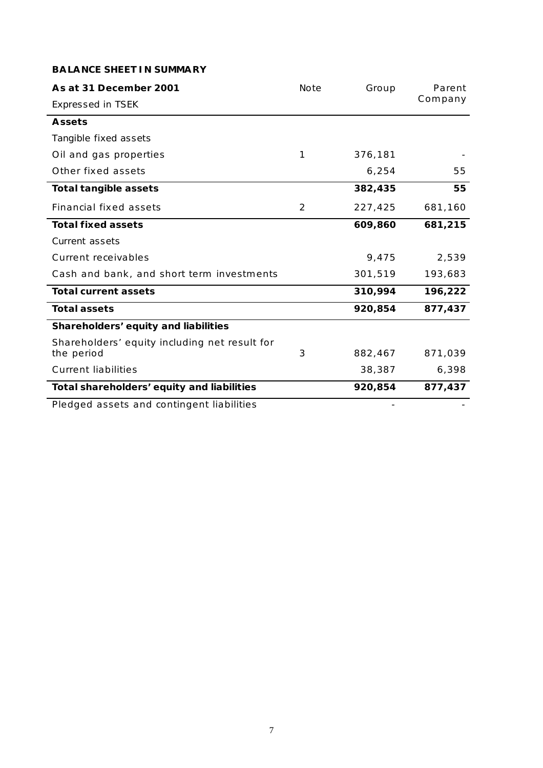#### **BALANCE SHEET IN SUMMARY**

| As at 31 December 2001                                      | Note | Group   | Parent  |
|-------------------------------------------------------------|------|---------|---------|
| Expressed in TSEK                                           |      |         | Company |
| <b>Assets</b>                                               |      |         |         |
| Tangible fixed assets                                       |      |         |         |
| Oil and gas properties                                      | 1    | 376,181 |         |
| Other fixed assets                                          |      | 6,254   | 55      |
| <b>Total tangible assets</b>                                |      | 382,435 | 55      |
| <b>Financial fixed assets</b>                               | 2    | 227,425 | 681,160 |
| <b>Total fixed assets</b>                                   |      | 609,860 | 681,215 |
| Current assets                                              |      |         |         |
| Current receivables                                         |      | 9,475   | 2,539   |
| Cash and bank, and short term investments                   |      | 301,519 | 193,683 |
| <b>Total current assets</b>                                 |      | 310,994 | 196,222 |
| <b>Total assets</b>                                         |      | 920,854 | 877,437 |
| Shareholders' equity and liabilities                        |      |         |         |
| Shareholders' equity including net result for<br>the period | 3    | 882,467 | 871,039 |
| <b>Current liabilities</b>                                  |      | 38,387  | 6,398   |
|                                                             |      | 920,854 | 877,437 |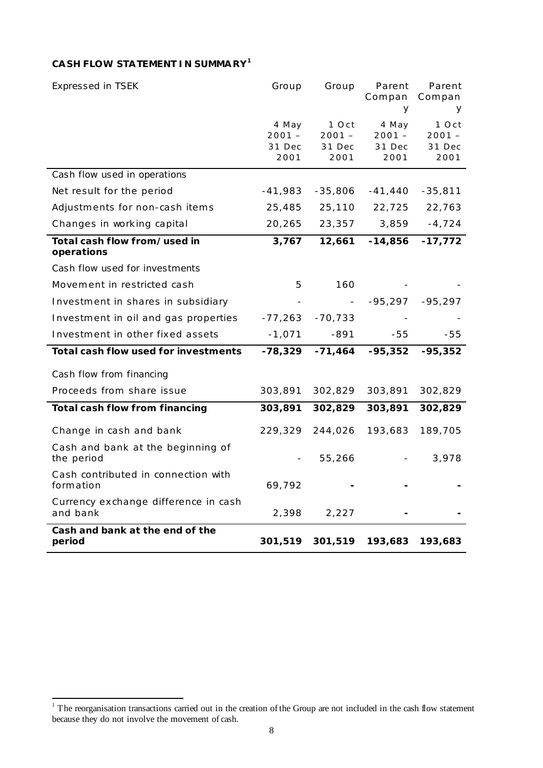# **CA SH FLOW STATEMENT IN SUMMARY<sup>1</sup>**

| Expressed in TSEK                                | Group              | Group              | Parent<br>Compan   | Parent<br>Compan |
|--------------------------------------------------|--------------------|--------------------|--------------------|------------------|
|                                                  |                    |                    | У                  | У                |
|                                                  | 4 May              | 1 Oct              | 4 May              | 1 Oct            |
|                                                  | $2001 -$<br>31 Dec | $2001 -$<br>31 Dec | $2001 -$<br>31 Dec | 2001 –<br>31 Dec |
|                                                  | 2001               | 2001               | 2001               | 2001             |
| Cash flow used in operations                     |                    |                    |                    |                  |
| Net result for the period                        | $-41,983$          | $-35,806$          | $-41,440$          | $-35,811$        |
| Adjustments for non-cash items                   | 25,485             | 25,110             | 22,725             | 22,763           |
| Changes in working capital                       | 20,265             | 23,357             | 3,859              | $-4,724$         |
| Total cash flow from/used in<br>operations       | 3,767              | 12,661             | $-14,856$          | $-17,772$        |
| Cash flow used for investments                   |                    |                    |                    |                  |
| Movement in restricted cash                      | 5                  | 160                |                    |                  |
| Investment in shares in subsidiary               |                    |                    | $-95,297$          | $-95,297$        |
| Investment in oil and gas properties             | $-77,263$          | $-70,733$          |                    |                  |
| Investment in other fixed assets                 | $-1,071$           | $-891$             | $-55$              | -55              |
| Total cash flow used for investments             | $-78,329$          | $-71,464$          | $-95,352$          | $-95,352$        |
| Cash flow from financing                         |                    |                    |                    |                  |
| Proceeds from share issue                        | 303,891            | 302,829            | 303,891            | 302,829          |
| Total cash flow from financing                   | 303,891            | 302,829            | 303,891            | 302,829          |
| Change in cash and bank                          | 229,329            | 244,026            | 193,683            | 189,705          |
| Cash and bank at the beginning of<br>the period  |                    | 55,266             |                    | 3,978            |
| Cash contributed in connection with<br>formation | 69,792             |                    |                    |                  |
| Currency exchange difference in cash<br>and bank | 2,398              | 2,227              |                    |                  |
| Cash and bank at the end of the<br>period        | 301,519            | 301,519            | 193,683            | 193,683          |

<sup>&</sup>lt;sup>1</sup> The reorganisation transactions carried out in the creation of the Group are not included in the cash flow statement because they do not involve the movement of cash.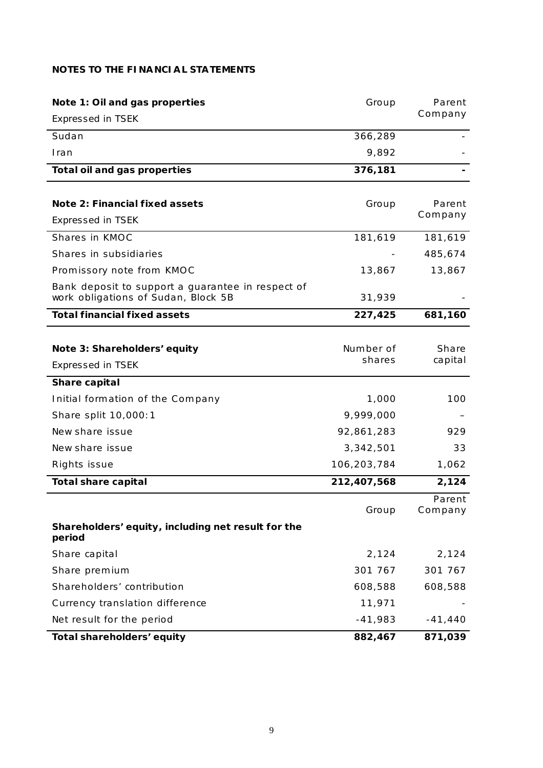### **NOTES TO THE FINANCIAL STATEMENTS**

| Note 1: Oil and gas properties                                                           | Group       | Parent    |
|------------------------------------------------------------------------------------------|-------------|-----------|
| Expressed in TSEK                                                                        |             | Company   |
| Sudan                                                                                    | 366,289     |           |
| Iran                                                                                     | 9,892       |           |
| Total oil and gas properties                                                             | 376,181     |           |
|                                                                                          |             |           |
| Note 2: Financial fixed assets                                                           | Group       | Parent    |
| Expressed in TSEK                                                                        |             | Company   |
| Shares in KMOC                                                                           | 181,619     | 181,619   |
| Shares in subsidiaries                                                                   |             | 485,674   |
| Promissory note from KMOC                                                                | 13,867      | 13,867    |
| Bank deposit to support a guarantee in respect of<br>work obligations of Sudan, Block 5B | 31,939      |           |
| <b>Total financial fixed assets</b>                                                      | 227,425     | 681,160   |
|                                                                                          |             |           |
| Note 3: Shareholders' equity                                                             | Number of   | Share     |
| Expressed in TSEK                                                                        | shares      | capital   |
| Share capital                                                                            |             |           |
| Initial formation of the Company                                                         | 1,000       | 100       |
| Share split 10,000:1                                                                     | 9,999,000   |           |
| New share issue                                                                          | 92,861,283  | 929       |
| New share issue                                                                          | 3,342,501   | 33        |
| Rights issue                                                                             | 106,203,784 | 1,062     |
| <b>Total share capital</b>                                                               | 212,407,568 | 2,124     |
|                                                                                          |             | Parent    |
|                                                                                          | Group       | Company   |
| Shareholders' equity, including net result for the<br>period                             |             |           |
| Share capital                                                                            | 2,124       | 2,124     |
| Share premium                                                                            | 301 767     | 301 767   |
| Shareholders' contribution                                                               | 608,588     | 608,588   |
| Currency translation difference                                                          | 11,971      |           |
| Net result for the period                                                                | $-41,983$   | $-41,440$ |
| Total shareholders' equity                                                               | 882,467     | 871,039   |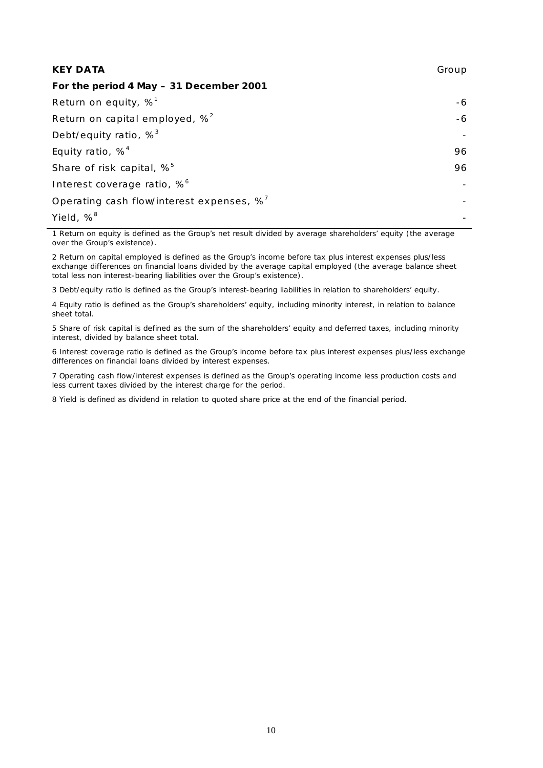| <b>KEY DATA</b>                                       | Group |
|-------------------------------------------------------|-------|
| For the period 4 May - 31 December 2001               |       |
| Return on equity, $\%^1$                              | -6    |
| Return on capital employed, $\%^2$                    | -6    |
| Debt/equity ratio, $\%^3$                             |       |
| Equity ratio, $%^{4}$                                 | 96    |
| Share of risk capital, % <sup>5</sup>                 | 96    |
| Interest coverage ratio, % <sup>6</sup>               |       |
| Operating cash flow/interest expenses, % <sup>7</sup> |       |
| Yield, % <sup>8</sup>                                 |       |

1 Return on equity is defined as the Group's net result divided by average shareholders' equity (the average over the Group's existence).

2 Return on capital employed is defined as the Group's income before tax plus interest expenses plus/less exchange differences on financial loans divided by the average capital employed (the average balance sheet total less non interest-bearing liabilities over the Group's existence).

3 Debt/equity ratio is defined as the Group's interest-bearing liabilities in relation to shareholders' equity.

4 Equity ratio is defined as the Group's shareholders' equity, including minority interest, in relation to balance sheet total.

5 Share of risk capital is defined as the sum of the shareholders' equity and deferred taxes, including minority interest, divided by balance sheet total.

6 Interest coverage ratio is defined as the Group's income before tax plus interest expenses plus/less exchange differences on financial loans divided by interest expenses.

7 Operating cash flow/interest expenses is defined as the Group's operating income less production costs and less current taxes divided by the interest charge for the period.

8 Yield is defined as dividend in relation to quoted share price at the end of the financial period.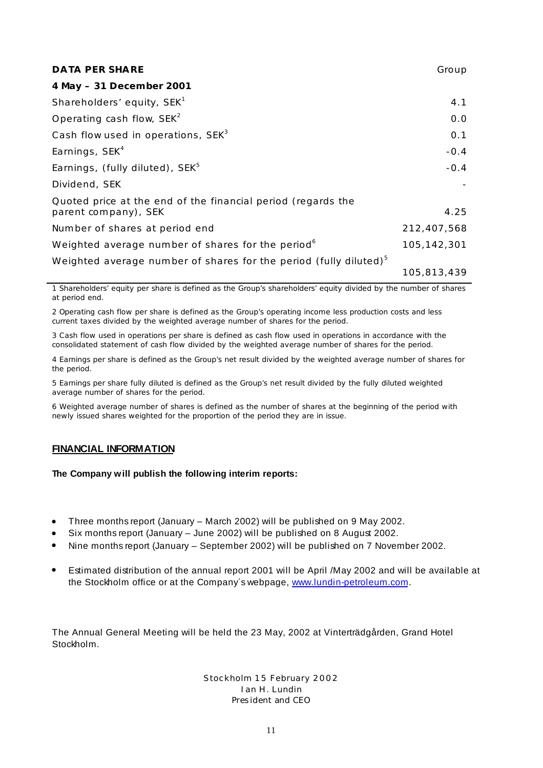| <b>DATA PER SHARE</b>                                                                | Group       |
|--------------------------------------------------------------------------------------|-------------|
| 4 May - 31 December 2001                                                             |             |
| Shareholders' equity, SEK <sup>1</sup>                                               | 4.1         |
| Operating cash flow, $SEK2$                                                          | 0.0         |
| Cash flow used in operations, SEK <sup>3</sup>                                       | 0.1         |
| Earnings, SEK <sup>4</sup>                                                           | $-0.4$      |
| Earnings, (fully diluted), SEK <sup>5</sup>                                          | $-0.4$      |
| Dividend, SEK                                                                        |             |
| Quoted price at the end of the financial period (regards the<br>parent company), SEK | 4.25        |
| Number of shares at period end                                                       | 212,407,568 |
| Weighted average number of shares for the period <sup>6</sup>                        | 105,142,301 |
| Weighted average number of shares for the period (fully diluted) <sup>5</sup>        |             |
|                                                                                      | 105,813,439 |

1 Shareholders' equity per share is defined as the Group's shareholders' equity divided by the number of shares at period end.

2 Operating cash flow per share is defined as the Group's operating income less production costs and less current taxes divided by the weighted average number of shares for the period.

3 Cash flow used in operations per share is defined as cash flow used in operations in accordance with the consolidated statement of cash flow divided by the weighted average number of shares for the period.

4 Earnings per share is defined as the Group's net result divided by the weighted average number of shares for the period.

5 Earnings per share fully diluted is defined as the Group's net result divided by the fully diluted weighted average number of shares for the period.

6 Weighted average number of shares is defined as the number of shares at the beginning of the period with newly issued shares weighted for the proportion of the period they are in issue.

#### **FINANCIAL INFORMATION**

#### **The Company will publish the following interim reports:**

- Three months report (January March 2002) will be published on 9 May 2002.
- Six months report (January June 2002) will be published on 8 August 2002.
- Nine months report (January September 2002) will be published on 7 November 2002.
- Estimated distribution of the annual report 2001 will be April /May 2002 and will be available at the Stockholm office or at the Company´s webpage, www.lundin-petroleum.com.

The Annual General Meeting will be held the 23 May, 2002 at Vinterträdgården, Grand Hotel Stockholm.

> Stoc kholm 15 February 2002 I an H . Lundin *Pres ident and CEO*